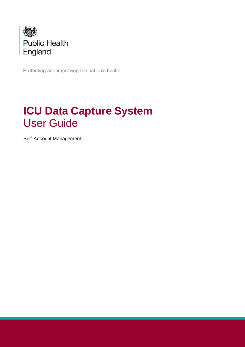

Protecting and improving the nation's health

# **ICU Data Capture System** User Guide

Self-Account Management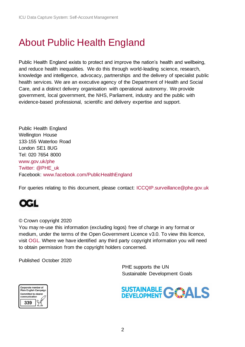# <span id="page-1-0"></span>About Public Health England

Public Health England exists to protect and improve the nation's health and wellbeing, and reduce health inequalities. We do this through world-leading science, research, knowledge and intelligence, advocacy, partnerships and the delivery of specialist public health services. We are an executive agency of the Department of Health and Social Care, and a distinct delivery organisation with operational autonomy. We provide government, local government, the NHS, Parliament, industry and the public with evidence-based professional, scientific and delivery expertise and support.

Public Health England Wellington House 133-155 Waterloo Road London SE1 8UG Tel: 020 7654 8000 [www.gov.uk/phe](http://www.gov.uk/phe) Twitter: [@PHE\\_uk](https://twitter.com/PHE_uk) Facebook: [www.facebook.com/PublicHealthEngland](http://www.facebook.com/PublicHealthEngland)

For queries relating to this document, please contact: [ICCQIP.surveillance@phe.gov.uk](mailto:ICCQIP.surveillance@phe.gov.uk)

# QGL

#### © Crown copyright 2020

You may re-use this information (excluding logos) free of charge in any format or medium, under the terms of the Open Government Licence v3.0. To view this licence, visit [OGL.](https://www.nationalarchives.gov.uk/doc/open-government-licence/version/3/) Where we have identified any third party copyright information you will need to obtain permission from the copyright holders concerned.

Published October 2020

 PHE supports the UN Sustainable Development Goals



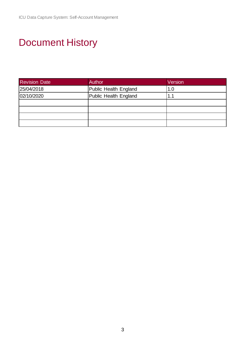# <span id="page-2-0"></span>Document History

| <b>Revision Date</b> | Author                | Version |
|----------------------|-----------------------|---------|
| 25/04/2018           | Public Health England | 1.0     |
| 02/10/2020           | Public Health England | 1.1     |
|                      |                       |         |
|                      |                       |         |
|                      |                       |         |
|                      |                       |         |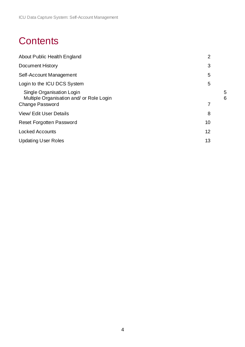# **Contents**

| About Public Health England                                                                     | $\overline{2}$ |        |
|-------------------------------------------------------------------------------------------------|----------------|--------|
| <b>Document History</b>                                                                         | 3              |        |
| Self-Account Management                                                                         | 5              |        |
| Login to the ICU DCS System                                                                     | 5              |        |
| Single Organisation Login<br>Multiple Organisation and/ or Role Login<br><b>Change Password</b> | 7              | 5<br>6 |
| <b>View/Edit User Details</b>                                                                   | 8              |        |
| <b>Reset Forgotten Password</b>                                                                 | 10             |        |
| <b>Locked Accounts</b>                                                                          | 12             |        |
| <b>Updating User Roles</b>                                                                      | 13             |        |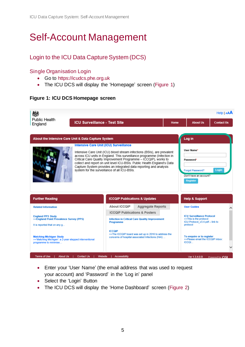# <span id="page-4-0"></span>Self-Account Management

# <span id="page-4-1"></span>Login to the ICU Data Capture System (DCS)

### <span id="page-4-2"></span>Single Organisation Login

- Go to [https://icudcs.phe.org.uk](https://icudcs.phe.org.uk/)
- The ICU DCS will display the 'Homepage' screen [\(Figure 1\)](#page-4-3)

### <span id="page-4-3"></span>**Figure 1: ICU DCS Homepage screen**

| <b>Public Health</b><br>England                                                                                   | <b>ICU Surveillance - Test Site</b> |                                                                                        |                                                                                                                                                                                                                                                                                                                                                                      | Home | <b>About Us</b>                                                                                           | Help   AAA<br><b>Contact Us</b> |
|-------------------------------------------------------------------------------------------------------------------|-------------------------------------|----------------------------------------------------------------------------------------|----------------------------------------------------------------------------------------------------------------------------------------------------------------------------------------------------------------------------------------------------------------------------------------------------------------------------------------------------------------------|------|-----------------------------------------------------------------------------------------------------------|---------------------------------|
| About the Intensive Care Unit & Data Capture System                                                               |                                     |                                                                                        |                                                                                                                                                                                                                                                                                                                                                                      |      | Log in                                                                                                    |                                 |
|                                                                                                                   |                                     | Intensive Care Unit (ICU) Surveillance<br>system for the surveillance of all ICU-BSIs. | Intensive Care Unit (ICU) blood stream infections (BSIs), are prevalent<br>across ICU units in England. This surveillance programme (Infection in<br>Critical Care Quality Improvement Programme - ICCQIP), works to<br>collect and report on unit level ICU-BSIs. Public Health England's Data<br>Capture System provides an integrated data reporting and analysis |      | User Name*<br>Password*<br>Forgot Password?<br>Don't have an account?<br>Register                         | Login                           |
| <b>Further Reading</b>                                                                                            |                                     | <b>ICCQIP Publications &amp; Updates</b>                                               |                                                                                                                                                                                                                                                                                                                                                                      |      | <b>Help &amp; Support</b>                                                                                 |                                 |
| <b>Related Information</b>                                                                                        |                                     | <b>About ICCOIP</b>                                                                    | <b>Aggregate Reports</b>                                                                                                                                                                                                                                                                                                                                             |      | <b>User Guides</b>                                                                                        |                                 |
| <b>England PPS Study</b><br>>>England Point Prevalence Survey (PPS)<br>It is reported that on any g               |                                     | <b>ICCOIP Publications &amp; Posters</b><br><b>Programme</b>                           | <b>Infection in Critical Care Quality Improvement</b>                                                                                                                                                                                                                                                                                                                |      | <b>ICU Surveillance Protocol</b><br>>>This is the protocol<br>ICU Protocol v3.4.pdf - link to<br>protocol |                                 |
| <b>Matching Michigan Study</b><br>>>'Matching Michigan': a 2-year stepped interventional<br>programme to minimise |                                     | <b>ICCOIP</b>                                                                          | >>The ICCQIP board was set up in 2016 to address the<br>concerns of hospital associated Infections (HAI)                                                                                                                                                                                                                                                             |      | To enquire or to register<br>>>Please email the ICCQIP inbox:<br><b>ICCOL</b>                             |                                 |
|                                                                                                                   |                                     |                                                                                        |                                                                                                                                                                                                                                                                                                                                                                      |      |                                                                                                           |                                 |

- Enter your 'User Name' (the email address that was used to request your account) and 'Password' in the 'Log in' panel
- Select the 'Login' Button
- The ICU DCS will display the 'Home Dashboard' screen [\(Figure 2\)](#page-5-1)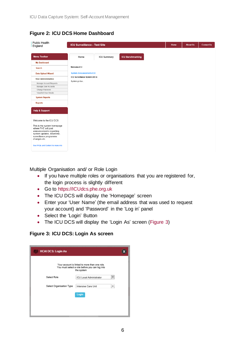| <b>Public Health</b><br>England                                                                                                                                                            | <b>ICU Surveillance - Test Site</b>             |                    |                         | Home | <b>About Us</b> | <b>Contact Us</b> |
|--------------------------------------------------------------------------------------------------------------------------------------------------------------------------------------------|-------------------------------------------------|--------------------|-------------------------|------|-----------------|-------------------|
| <b>Menu Toolbar</b>                                                                                                                                                                        | Home                                            | <b>ICU Summary</b> | <b>ICU Benchmarking</b> |      |                 |                   |
| <b>My Dashboard</b>                                                                                                                                                                        |                                                 |                    |                         |      |                 |                   |
| Search                                                                                                                                                                                     | Welcome-ICU                                     |                    |                         |      |                 |                   |
| <b>Data Upload Wizard</b>                                                                                                                                                                  | <b>System Announcements-ICU</b>                 |                    |                         |      |                 |                   |
| <b>User Administration</b>                                                                                                                                                                 | ICU Surveillance System (DCS)<br>System go live |                    |                         |      |                 |                   |
| Manage Account Requests                                                                                                                                                                    |                                                 |                    |                         |      |                 |                   |
| Manage User Accounts                                                                                                                                                                       |                                                 |                    |                         |      |                 |                   |
| Change Password                                                                                                                                                                            |                                                 |                    |                         |      |                 |                   |
| View/Edit User Details                                                                                                                                                                     |                                                 |                    |                         |      |                 |                   |
| <b>System Reports</b>                                                                                                                                                                      |                                                 |                    |                         |      |                 |                   |
| <b>Reports</b>                                                                                                                                                                             |                                                 |                    |                         |      |                 |                   |
| <b>Help &amp; Support</b>                                                                                                                                                                  |                                                 |                    |                         |      |                 |                   |
| Welcome to the ICU DCS                                                                                                                                                                     |                                                 |                    |                         |      |                 |                   |
| This is the system homepage<br>where PHE will post<br>announcements regarding<br>system updates, downtime,<br>surveillance programme<br>changes etc.<br>See FAQs and Content for more info |                                                 |                    |                         |      |                 |                   |

# <span id="page-5-1"></span>**Figure 2: ICU DCS Home Dashboard**

<span id="page-5-0"></span>Multiple Organisation and/ or Role Login

- If you have multiple roles or organisations that you are registered for, the login process is slightly different
- Go to [https://ICUdcs.phe.org.uk](https://hcaidcs.phe.org.uk/)
- The ICU DCS will display the 'Homepage' screen
- Enter your 'User Name' (the email address that was used to request your account) and 'Password' in the 'Log in' panel
- Select the 'Login' Button
- The ICU DCS will display the 'Login As' screen [\(Figure 3\)](#page-5-2)

### <span id="page-5-2"></span>**Figure 3: ICU DCS: Login As screen**

| <b>HCAI DCS: Login As</b> |                                                                                                               |  |
|---------------------------|---------------------------------------------------------------------------------------------------------------|--|
|                           | Your account is linked to more than one role.<br>You must select a role before you can log into<br>the system |  |
| Select Role               | ICU Local Administrator                                                                                       |  |
| Select Organisation Type  | Intensive Care Unit                                                                                           |  |
|                           | Login                                                                                                         |  |
|                           |                                                                                                               |  |
|                           |                                                                                                               |  |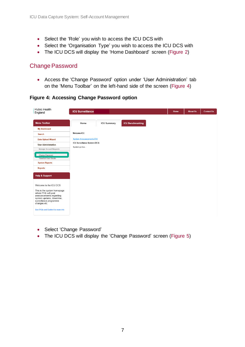- Select the 'Role' you wish to access the ICU DCS with
- Select the 'Organisation Type' you wish to access the ICU DCS with
- The ICU DCS will display the 'Home Dashboard' screen [\(Figure 2\)](#page-5-1)

## <span id="page-6-0"></span>Change Password

• Access the 'Change Password' option under 'User Administration' tab on the 'Menu Toolbar' on the left-hand side of the screen [\(Figure 4\)](#page-6-1)

<span id="page-6-1"></span>**Figure 4: Accessing Change Password option**

| <b>Public Health</b><br>England                                                                                                                      | <b>ICU Surveillance</b>         |                    |                         | Home | <b>About Us</b> | <b>Contact Us</b> |
|------------------------------------------------------------------------------------------------------------------------------------------------------|---------------------------------|--------------------|-------------------------|------|-----------------|-------------------|
| <b>Menu Toolbar</b>                                                                                                                                  | Home                            | <b>ICU Summary</b> | <b>ICU Benchmarking</b> |      |                 |                   |
| <b>My Dashboard</b>                                                                                                                                  |                                 |                    |                         |      |                 |                   |
| Search                                                                                                                                               | Welcome-ICU                     |                    |                         |      |                 |                   |
| <b>Data Upload Wizard</b>                                                                                                                            | <b>System Announcements-ICU</b> |                    |                         |      |                 |                   |
| <b>User Administration</b>                                                                                                                           | ICU Surveillance System (DCS)   |                    |                         |      |                 |                   |
| Manage Account Requests                                                                                                                              | System go live                  |                    |                         |      |                 |                   |
| Mangan Lleor Accounts<br>Change Password                                                                                                             |                                 |                    |                         |      |                 |                   |
| <b>View/Edit User Details</b>                                                                                                                        |                                 |                    |                         |      |                 |                   |
| <b>System Reports</b>                                                                                                                                |                                 |                    |                         |      |                 |                   |
| <b>Reports</b>                                                                                                                                       |                                 |                    |                         |      |                 |                   |
| <b>Help &amp; Support</b>                                                                                                                            |                                 |                    |                         |      |                 |                   |
| Welcome to the ICU DCS                                                                                                                               |                                 |                    |                         |      |                 |                   |
| This is the system homepage<br>where PHE will post<br>announcements regarding<br>system updates, downtime,<br>surveillance programme<br>changes etc. |                                 |                    |                         |      |                 |                   |
| See FAQs and Content for more info                                                                                                                   |                                 |                    |                         |      |                 |                   |

- Select 'Change Password'
- The ICU DCS will display the 'Change Password' screen [\(Figure 5\)](#page-7-1)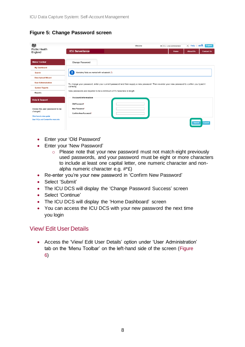<span id="page-7-1"></span>**Figure 5: Change Password screen**

| 戀<br><b>Public Health</b><br>England                                   | Help $ $ AAA<br>Logout<br>Welcome<br>$\star$<br>as ICU Local Administrator<br><b>ICU Surveillance</b><br><b>About Us</b><br><b>Contact Us</b><br>Home |
|------------------------------------------------------------------------|-------------------------------------------------------------------------------------------------------------------------------------------------------|
| <b>Menu Toolbar</b>                                                    | <b>Change Password</b>                                                                                                                                |
| My Dashboard                                                           |                                                                                                                                                       |
| <b>Search</b>                                                          | Mandatory fields are marked with red asterisk (*)                                                                                                     |
| <b>Data Upload Wizard</b>                                              |                                                                                                                                                       |
| <b>User Administration</b>                                             | To change your password, enter your current password and then supply a new password. Then re-enter your new password to confirm you typed it          |
| <b>System Reports</b>                                                  | correctly.                                                                                                                                            |
| Reports                                                                | New passwords are required to be a minimum of 8 characters in length.                                                                                 |
| <b>Help &amp; Support</b>                                              | <b>Account Information</b><br>Old Password*                                                                                                           |
| Allows the user password to be<br>changed.<br>Click here to view guide | New Password*<br>Confirm New Password*                                                                                                                |
| See FAQs and Content for more info                                     | Cancel<br><b>Submit</b>                                                                                                                               |

- Enter your 'Old Password'
- Enter your 'New Password'
	- o Please note that your new password must not match eight previously used passwords, and your password must be eight or more characters to include at least one capital letter, one numeric character and nonalpha numeric character e.g. #\*£)
- Re-enter you're your new password in 'Confirm New Password'
- Select 'Submit'
- The ICU DCS will display the 'Change Password Success' screen
- Select 'Continue'
- The ICU DCS will display the 'Home Dashboard' screen
- You can access the ICU DCS with your new password the next time you login

### <span id="page-7-0"></span>View/ Edit User Details

• Access the 'View/ Edit User Details' option under 'User Administration' tab on the 'Menu Toolbar' on the left-hand side of the screen [\(Figure](#page-8-0)  [6\)](#page-8-0)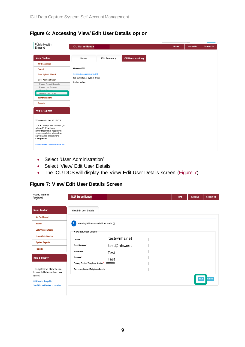<span id="page-8-0"></span>

| Figure 6: Accessing View/Edit User Details option |  |
|---------------------------------------------------|--|
|---------------------------------------------------|--|

| <b>Public Health</b><br>England                                                                                                                      | <b>ICU Surveillance</b>                         |                    |                         | Home | <b>About Us</b> | <b>Contact Us</b> |
|------------------------------------------------------------------------------------------------------------------------------------------------------|-------------------------------------------------|--------------------|-------------------------|------|-----------------|-------------------|
| <b>Menu Toolbar</b>                                                                                                                                  | Home                                            | <b>ICU Summary</b> | <b>ICU Benchmarking</b> |      |                 |                   |
| <b>My Dashboard</b>                                                                                                                                  |                                                 |                    |                         |      |                 |                   |
| <b>Search</b>                                                                                                                                        | Welcome-ICU                                     |                    |                         |      |                 |                   |
| <b>Data Upload Wizard</b>                                                                                                                            | <b>System Announcements-ICU</b>                 |                    |                         |      |                 |                   |
| <b>User Administration</b>                                                                                                                           | ICU Surveillance System (DCS)<br>System go live |                    |                         |      |                 |                   |
| Manage Account Requests                                                                                                                              |                                                 |                    |                         |      |                 |                   |
| Manage User Accounts                                                                                                                                 |                                                 |                    |                         |      |                 |                   |
| Change Paccurant<br>View/Edit User Details                                                                                                           |                                                 |                    |                         |      |                 |                   |
| <b>System Reports</b>                                                                                                                                |                                                 |                    |                         |      |                 |                   |
| <b>Reports</b>                                                                                                                                       |                                                 |                    |                         |      |                 |                   |
| <b>Help &amp; Support</b>                                                                                                                            |                                                 |                    |                         |      |                 |                   |
| Welcome to the ICU DCS                                                                                                                               |                                                 |                    |                         |      |                 |                   |
| This is the system homepage<br>where PHE will post<br>announcements regarding<br>system updates, downtime,<br>surveillance programme<br>changes etc. |                                                 |                    |                         |      |                 |                   |
| See FAQs and Content for more info                                                                                                                   |                                                 |                    |                         |      |                 |                   |

- Select 'User Administration'
- Select 'View/ Edit User Details'
- The ICU DCS will display the View/ Edit User Details screen [\(Figure 7\)](#page-8-1)

<span id="page-8-1"></span>**Figure 7: View/ Edit User Details Screen**

| <b>FULLIO FIGAILI</b><br>England                                   | <b>ICU Surveillance</b>                                |              |        | Home | <b>About Us</b> | <b>Contact Us</b> |
|--------------------------------------------------------------------|--------------------------------------------------------|--------------|--------|------|-----------------|-------------------|
| <b>Menu Toolbar</b>                                                | <b>View/Edit User Details</b>                          |              |        |      |                 |                   |
| My Dashboard                                                       |                                                        |              |        |      |                 |                   |
| <b>Search</b>                                                      | ļ<br>Mandatory fields are marked with red asterisk (*) |              |        |      |                 |                   |
| <b>Data Upload Wizard</b>                                          | View/Edit User Details                                 |              |        |      |                 |                   |
| <b>User Administration</b>                                         | User Id                                                | test@nhs.net |        |      |                 |                   |
| <b>System Reports</b>                                              | Email Address*                                         | test@nhs.net | $\Box$ |      |                 |                   |
| <b>Reports</b>                                                     | First Name*                                            | Test         |        |      |                 |                   |
| <b>Help &amp; Support</b>                                          | Surname*                                               | Test         |        |      |                 |                   |
|                                                                    | Primary Contact Telephone Number*                      | 99999999     |        |      |                 |                   |
| This system will allow the user<br>to View/Edit data on their user | Secondary Contact Telephone Number                     |              |        |      |                 |                   |
| record.<br>Click here to view guide                                |                                                        |              |        |      | Save            | Cancel            |
| See FAQs and Content for more info                                 |                                                        |              |        |      |                 |                   |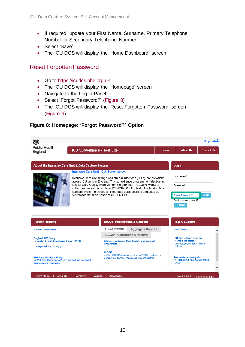- If required, update your First Name, Surname, Primary Telephone Number or Secondary Telephone Number
- Select 'Save'
- The ICU DCS will display the 'Home Dashboard' screen

# <span id="page-9-0"></span>Reset Forgotten Password

- Go to [https://icudcs.phe.org.uk](https://icudcs.phe.org.uk/)
- The ICU DCS will display the 'Homepage' screen
- Navigate to the Log in Panel
- Select 'Forgot Password?' [\(Figure 8\)](#page-9-1)
- The ICU DCS will display the 'Reset Forgotten Password' screen [\(Figure 9\)](#page-10-0)

### <span id="page-9-1"></span>**Figure 8: Homepage: 'Forgot Password?' Option**

|                                                                                                                   |                                        |                                                                                                                                                                                                                                                                                                                                                                                                                      |                                                                                                          |             |                                                                                          | Help   AAA                       |
|-------------------------------------------------------------------------------------------------------------------|----------------------------------------|----------------------------------------------------------------------------------------------------------------------------------------------------------------------------------------------------------------------------------------------------------------------------------------------------------------------------------------------------------------------------------------------------------------------|----------------------------------------------------------------------------------------------------------|-------------|------------------------------------------------------------------------------------------|----------------------------------|
| Public Health<br>England                                                                                          | <b>ICU Surveillance - Test Site</b>    |                                                                                                                                                                                                                                                                                                                                                                                                                      |                                                                                                          | <b>Home</b> | <b>About Us</b>                                                                          | <b>Contact Us</b>                |
|                                                                                                                   |                                        |                                                                                                                                                                                                                                                                                                                                                                                                                      |                                                                                                          |             |                                                                                          |                                  |
| About the Intensive Care Unit & Data Capture System                                                               |                                        |                                                                                                                                                                                                                                                                                                                                                                                                                      |                                                                                                          |             | Log in                                                                                   |                                  |
|                                                                                                                   | Intensive Care Unit (ICU) Surveillance | Intensive Care Unit (ICU) blood stream infections (BSIs), are prevalent<br>across ICU units in England. This surveillance programme (Infection in<br>Critical Care Quality Improvement Programme - ICCQIP), works to<br>collect and report on unit level ICU-BSIs. Public Health England's Data<br>Capture System provides an integrated data reporting and analysis<br>system for the surveillance of all ICU-BSIs. |                                                                                                          |             | User Name*<br>Password*<br>Forgot Password?<br>Don't have an account?<br><b>Register</b> | Login                            |
| <b>Further Reading</b>                                                                                            |                                        | <b>ICCQIP Publications &amp; Updates</b>                                                                                                                                                                                                                                                                                                                                                                             |                                                                                                          |             | <b>Help &amp; Support</b>                                                                |                                  |
| <b>Related Information</b>                                                                                        |                                        | About ICCOIP                                                                                                                                                                                                                                                                                                                                                                                                         | <b>Aggregate Reports</b>                                                                                 |             | <b>User Guides</b>                                                                       |                                  |
| <b>England PPS Study</b><br>>>England Point Prevalence Survey (PPS)<br>It is reported that on any q               |                                        | <b>ICCOIP Publications &amp; Posters</b><br>Programme<br><b>ICCOIP</b>                                                                                                                                                                                                                                                                                                                                               | <b>Infection in Critical Care Quality Improvement</b>                                                    |             | <b>ICU Surveillance Protocol</b><br>>>This is the protocol<br>protocol                   | ICU Protocol v3.4.pdf - link to  |
| <b>Matching Michigan Study</b><br>>>'Matching Michigan': a 2-year stepped interventional<br>programme to minimise |                                        |                                                                                                                                                                                                                                                                                                                                                                                                                      | >>The ICCQIP board was set up in 2016 to address the<br>concerns of hospital associated Infections (HAI) |             | To enquire or to register<br><b>ICCQI</b>                                                | >>Please email the ICCQIP inbox: |
| Terms of Use<br><b>About Us</b>                                                                                   | Contact Us<br>Website                  | Accessibility                                                                                                                                                                                                                                                                                                                                                                                                        |                                                                                                          |             | Ver 1.3.4.0.B                                                                            | Powered by CGI                   |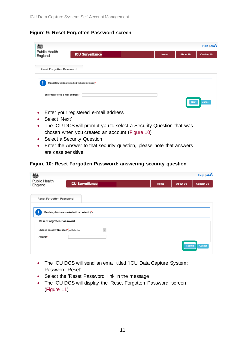#### <span id="page-10-0"></span>**Figure 9: Reset Forgotten Password screen**

| 戀                                |                                                  |      |                 | Help   AAA        |
|----------------------------------|--------------------------------------------------|------|-----------------|-------------------|
| Public Health<br>England         | <b>ICU Surveillance</b>                          | Home | <b>About Us</b> | <b>Contact Us</b> |
| <b>Reset Forgotten Password</b>  |                                                  |      |                 |                   |
|                                  | Mandatory fields are marked with red asterisk(*) |      |                 |                   |
| Enter registered e-mail address* |                                                  |      | <b>Next</b>     | Cancel            |
| $\bullet$                        | Enter your registered e-mail address             |      |                 |                   |

- Select 'Next'
- The ICU DCS will prompt you to select a Security Question that was chosen when you created an account [\(Figure 10\)](#page-10-1)
- Select a Security Question
- Enter the Answer to that security question, please note that answers are case sensitive

#### <span id="page-10-1"></span>**Figure 10: Reset Forgotten Password: answering security question**

| 戀                                     | Help   AAA                                        |  |      |                 |                   |  |
|---------------------------------------|---------------------------------------------------|--|------|-----------------|-------------------|--|
| <b>Public Health</b><br>England       | <b>ICU Surveillance</b>                           |  | Home | <b>About Us</b> | <b>Contact Us</b> |  |
| <b>Reset Forgotten Password</b>       |                                                   |  |      |                 |                   |  |
|                                       | Mandatory fields are marked with red asterisk (*) |  |      |                 |                   |  |
| Reset Forgotten Password              |                                                   |  |      |                 |                   |  |
| Choose Security Question* - Select -- | $\overline{\phantom{a}}$                          |  |      |                 |                   |  |
| Answer*                               |                                                   |  |      |                 |                   |  |
|                                       |                                                   |  |      | <b>Submit</b>   | Cancel            |  |

- The ICU DCS will send an email titled 'ICU Data Capture System: Password Reset'
- Select the 'Reset Password' link in the message
- The ICU DCS will display the 'Reset Forgotten Password' screen [\(Figure 11\)](#page-11-1)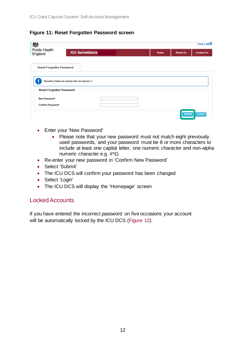### <span id="page-11-1"></span>**Figure 11: Reset Forgotten Password screen**

| 戀                               | Heip AA                                           |  |      |                 |                   |  |
|---------------------------------|---------------------------------------------------|--|------|-----------------|-------------------|--|
| <b>Public Health</b><br>England | <b>ICU Surveillance</b>                           |  | Home | <b>About Us</b> | <b>Contact Us</b> |  |
| <b>Reset Forgotten Password</b> |                                                   |  |      |                 |                   |  |
|                                 | Mandatory fields are marked with red asterisk (*) |  |      |                 |                   |  |
| Reset Forgotten Password        |                                                   |  |      |                 |                   |  |
| New Password*                   |                                                   |  |      |                 |                   |  |
| Confirm Password*               |                                                   |  |      |                 |                   |  |
|                                 |                                                   |  |      | <b>Submit</b>   | Cancel            |  |

- Enter your 'New Password'
	- Please note that your new password must not match eight previously used passwords, and your password must be 8 or more characters to include at least one capital letter, one numeric character and non-alpha numeric character e.g. #\*£)
- Re-enter your new password in 'Confirm New Password'
- Select 'Submit'
- The ICU DCS will confirm your password has been changed
- Select 'Login'
- The ICU DCS will display the 'Homepage' screen

## <span id="page-11-0"></span>Locked Accounts

If you have entered the incorrect password on five occasions your account will be automatically locked by the ICU DCS [\(Figure 12\)](#page-12-1).